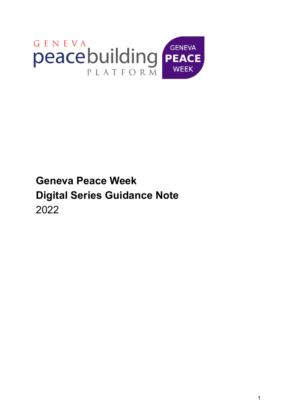

# **Geneva Peace Week Digital Series Guidance Note** 2022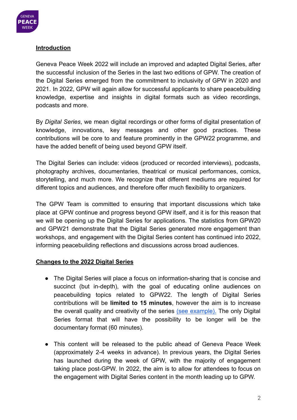

# **Introduction**

Geneva Peace Week 2022 will include an improved and adapted Digital Series, after the successful inclusion of the Series in the last two editions of GPW. The creation of the Digital Series emerged from the commitment to inclusivity of GPW in 2020 and 2021. In 2022, GPW will again allow for successful applicants to share peacebuilding knowledge, expertise and insights in digital formats such as video recordings, podcasts and more.

By *Digital Series*, we mean digital recordings or other forms of digital presentation of knowledge, innovations, key messages and other good practices. These contributions will be core to and feature prominently in the GPW22 programme, and have the added benefit of being used beyond GPW itself.

The Digital Series can include: videos (produced or recorded interviews), podcasts, photography archives, documentaries, theatrical or musical performances, comics, storytelling, and much more. We recognize that different mediums are required for different topics and audiences, and therefore offer much flexibility to organizers.

The GPW Team is committed to ensuring that important discussions which take place at GPW continue and progress beyond GPW itself, and it is for this reason that we will be opening up the Digital Series for applications. The statistics from GPW20 and GPW21 demonstrate that the Digital Series generated more engagement than workshops, and engagement with the Digital Series content has continued into 2022, informing peacebuilding reflections and discussions across broad audiences.

# **Changes to the 2022 Digital Series**

- The Digital Series will place a focus on information-sharing that is concise and succinct (but in-depth), with the goal of educating online audiences on peacebuilding topics related to GPW22. The length of Digital Series contributions will be **limited to 15 minutes**, however the aim is to increase the overall quality and creativity of the series (see [example\).](https://www.youtube.com/watch?v=oPAQxOd4I5I) The only Digital Series format that will have the possibility to be longer will be the documentary format (60 minutes).
- This content will be released to the public ahead of Geneva Peace Week (approximately 2-4 weeks in advance). In previous years, the Digital Series has launched during the week of GPW, with the majority of engagement taking place post-GPW. In 2022, the aim is to allow for attendees to focus on the engagement with Digital Series content in the month leading up to GPW.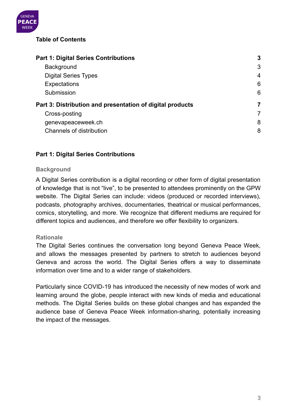

# **Table of Contents**

| <b>Part 1: Digital Series Contributions</b>               |   |  |
|-----------------------------------------------------------|---|--|
| <b>Background</b>                                         | 3 |  |
| <b>Digital Series Types</b>                               | 4 |  |
| <b>Expectations</b>                                       | 6 |  |
| Submission                                                | 6 |  |
| Part 3: Distribution and presentation of digital products |   |  |
| Cross-posting                                             |   |  |
| genevapeaceweek.ch                                        | 8 |  |
| Channels of distribution                                  | 8 |  |

# <span id="page-2-0"></span>**Part 1: Digital Series Contributions**

#### <span id="page-2-1"></span>**Background**

A Digital Series contribution is a digital recording or other form of digital presentation of knowledge that is not "live", to be presented to attendees prominently on the GPW website. The Digital Series can include: videos (produced or recorded interviews), podcasts, photography archives, documentaries, theatrical or musical performances, comics, storytelling, and more. We recognize that different mediums are required for different topics and audiences, and therefore we offer flexibility to organizers.

#### **Rationale**

The Digital Series continues the conversation long beyond Geneva Peace Week, and allows the messages presented by partners to stretch to audiences beyond Geneva and across the world. The Digital Series offers a way to disseminate information over time and to a wider range of stakeholders.

Particularly since COVID-19 has introduced the necessity of new modes of work and learning around the globe, people interact with new kinds of media and educational methods. The Digital Series builds on these global changes and has expanded the audience base of Geneva Peace Week information-sharing, potentially increasing the impact of the messages.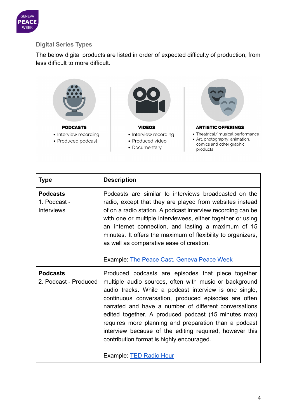

# <span id="page-3-0"></span>**Digital Series Types**

The below digital products are listed in order of expected difficulty of production, from less difficult to more difficult.



• Documentary



products

| Type                                                 | <b>Description</b>                                                                                                                                                                                                                                                                                                                                                                                                                                                                                                                                 |
|------------------------------------------------------|----------------------------------------------------------------------------------------------------------------------------------------------------------------------------------------------------------------------------------------------------------------------------------------------------------------------------------------------------------------------------------------------------------------------------------------------------------------------------------------------------------------------------------------------------|
| <b>Podcasts</b><br>1. Podcast -<br><b>Interviews</b> | Podcasts are similar to interviews broadcasted on the<br>radio, except that they are played from websites instead<br>of on a radio station. A podcast interview recording can be<br>with one or multiple interviewees, either together or using<br>an internet connection, and lasting a maximum of 15<br>minutes. It offers the maximum of flexibility to organizers,<br>as well as comparative ease of creation.<br>Example: The Peace Cast, Geneva Peace Week                                                                                   |
| <b>Podcasts</b><br>2. Podcast - Produced             | Produced podcasts are episodes that piece together<br>multiple audio sources, often with music or background<br>audio tracks. While a podcast interview is one single,<br>continuous conversation, produced episodes are often<br>narrated and have a number of different conversations<br>edited together. A produced podcast (15 minutes max)<br>requires more planning and preparation than a podcast<br>interview because of the editing required, however this<br>contribution format is highly encouraged.<br>Example: <b>TED Radio Hour</b> |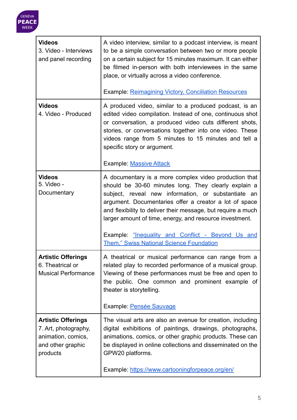

| <b>Videos</b><br>3. Video - Interviews<br>and panel recording                                            | A video interview, similar to a podcast interview, is meant<br>to be a simple conversation between two or more people<br>on a certain subject for 15 minutes maximum. It can either<br>be filmed in-person with both interviewees in the same<br>place, or virtually across a video conference.<br><b>Example: Reimagining Victory, Conciliation Resources</b>                                           |
|----------------------------------------------------------------------------------------------------------|----------------------------------------------------------------------------------------------------------------------------------------------------------------------------------------------------------------------------------------------------------------------------------------------------------------------------------------------------------------------------------------------------------|
| <b>Videos</b><br>4. Video - Produced                                                                     | A produced video, similar to a produced podcast, is an<br>edited video compilation. Instead of one, continuous shot<br>or conversation, a produced video cuts different shots,<br>stories, or conversations together into one video. These<br>videos range from 5 minutes to 15 minutes and tell a<br>specific story or argument.<br><b>Example: Massive Attack</b>                                      |
| <b>Videos</b>                                                                                            | A documentary is a more complex video production that                                                                                                                                                                                                                                                                                                                                                    |
| 5. Video -<br>Documentary                                                                                | should be 30-60 minutes long. They clearly explain a<br>subject, reveal new information, or substantiate an<br>argument. Documentaries offer a creator a lot of space<br>and flexibility to deliver their message, but require a much<br>larger amount of time, energy, and resource investment.<br>Example: "Inequality and Conflict - Beyond Us and<br><b>Them," Swiss National Science Foundation</b> |
| <b>Artistic Offerings</b><br>6. Theatrical or<br><b>Musical Performance</b>                              | A theatrical or musical performance can range from a<br>related play to recorded performance of a musical group.<br>Viewing of these performances must be free and open to<br>the public. One common and prominent example of<br>theater is storytelling.                                                                                                                                                |
|                                                                                                          | Example: Pensée Sauvage                                                                                                                                                                                                                                                                                                                                                                                  |
| <b>Artistic Offerings</b><br>7. Art, photography,<br>animation, comics,<br>and other graphic<br>products | The visual arts are also an avenue for creation, including<br>digital exhibitions of paintings, drawings, photographs,<br>animations, comics, or other graphic products. These can<br>be displayed in online collections and disseminated on the<br>GPW20 platforms.                                                                                                                                     |
|                                                                                                          | Example: https://www.cartooningforpeace.org/en/                                                                                                                                                                                                                                                                                                                                                          |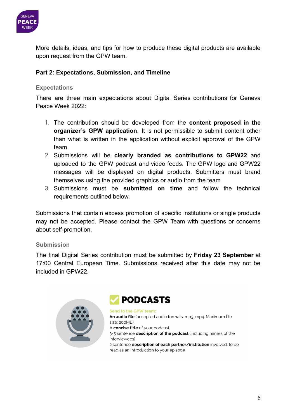

More details, ideas, and tips for how to produce these digital products are available upon request from the GPW team.

# **Part 2: Expectations, Submission, and Timeline**

## <span id="page-5-0"></span>**Expectations**

There are three main expectations about Digital Series contributions for Geneva Peace Week 2022:

- 1. The contribution should be developed from the **content proposed in the organizer's GPW application**. It is not permissible to submit content other than what is written in the application without explicit approval of the GPW team.
- 2. Submissions will be **clearly branded as contributions to GPW22** and uploaded to the GPW podcast and video feeds. The GPW logo and GPW22 messages will be displayed on digital products. Submitters must brand themselves using the provided graphics or audio from the team
- 3. Submissions must be **submitted on time** and follow the technical requirements outlined below.

Submissions that contain excess promotion of specific institutions or single products may not be accepted. Please contact the GPW Team with questions or concerns about self-promotion.

#### <span id="page-5-1"></span>**Submission**

The final Digital Series contribution must be submitted by **Friday 23 September** at 17:00 Central European Time. Submissions received after this date may not be included in GPW22.





Send to the GPW team: An audio file (accepted audio formats: mp3, mp4. Maximum file size: 200MB). A concise title of your podcast. 3-5 sentence **description of the podcast** (including names of the interviewees) 2 sentence description of each partner/institution involved, to be read as an introduction to your episode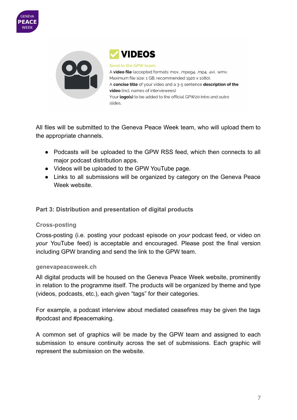



**VIDEOS** 

Send to the GPW team: A video file (accepted formats: mov, .mpeg4, .mp4, .avi, .wmv. Maximum file size: 1 GB; recommended 1920 x 1080), A concise title of your video and a 3-5 sentence description of the video (incl. names of interviewees) Your logo(s) to be added to the official GPW20 intro and outro slides,

All files will be submitted to the Geneva Peace Week team, who will upload them to the appropriate channels.

- Podcasts will be uploaded to the GPW RSS feed, which then connects to all major podcast distribution apps.
- Videos will be uploaded to the GPW YouTube page.
- Links to all submissions will be organized by category on the Geneva Peace Week website.

<span id="page-6-0"></span>**Part 3: Distribution and presentation of digital products**

# <span id="page-6-1"></span>**Cross-posting**

Cross-posting (i.e. posting your podcast episode on *your* podcast feed, or video on *your* YouTube feed) is acceptable and encouraged. Please post the final version including GPW branding and send the link to the GPW team.

# <span id="page-6-2"></span>**genevapeaceweek.ch**

All digital products will be housed on the Geneva Peace Week website, prominently in relation to the programme itself. The products will be organized by theme and type (videos, podcasts, etc.), each given "tags" for their categories.

For example, a podcast interview about mediated ceasefires may be given the tags #podcast and #peacemaking.

A common set of graphics will be made by the GPW team and assigned to each submission to ensure continuity across the set of submissions. Each graphic will represent the submission on the website.